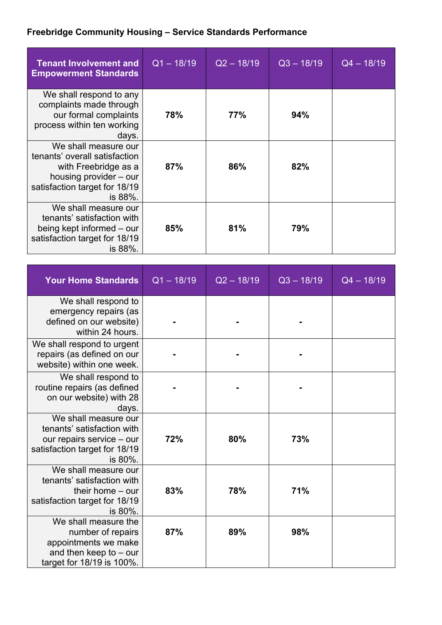## **Freebridge Community Housing – Service Standards Performance**

| <b>Tenant Involvement and</b><br><b>Empowerment Standards</b>                                                                                       | $Q1 - 18/19$ | $Q2 - 18/19$ | $Q3 - 18/19$ | $Q4 - 18/19$ |
|-----------------------------------------------------------------------------------------------------------------------------------------------------|--------------|--------------|--------------|--------------|
| We shall respond to any<br>complaints made through<br>our formal complaints<br>process within ten working<br>days.                                  | 78%          | 77%          | 94%          |              |
| We shall measure our<br>tenants' overall satisfaction<br>with Freebridge as a<br>housing provider – our<br>satisfaction target for 18/19<br>is 88%. | 87%          | 86%          | 82%          |              |
| We shall measure our<br>tenants' satisfaction with<br>being kept informed – our<br>satisfaction target for 18/19<br>is 88%.                         | 85%          | 81%          | 79%          |              |

| <b>Your Home Standards</b>                                                                                                  | $Q1 - 18/19$ | $Q2 - 18/19$ | $Q3 - 18/19$ | $Q4 - 18/19$ |
|-----------------------------------------------------------------------------------------------------------------------------|--------------|--------------|--------------|--------------|
| We shall respond to<br>emergency repairs (as<br>defined on our website)<br>within 24 hours.                                 |              |              |              |              |
| We shall respond to urgent<br>repairs (as defined on our<br>website) within one week.                                       |              |              |              |              |
| We shall respond to<br>routine repairs (as defined<br>on our website) with 28<br>days.                                      |              |              |              |              |
| We shall measure our<br>tenants' satisfaction with<br>our repairs service - our<br>satisfaction target for 18/19<br>is 80%. | 72%          | 80%          | 73%          |              |
| We shall measure our<br>tenants' satisfaction with<br>their home $-$ our<br>satisfaction target for 18/19<br>is 80%.        | 83%          | 78%          | 71%          |              |
| We shall measure the<br>number of repairs<br>appointments we make<br>and then keep to $-$ our<br>target for 18/19 is 100%.  | 87%          | 89%          | 98%          |              |